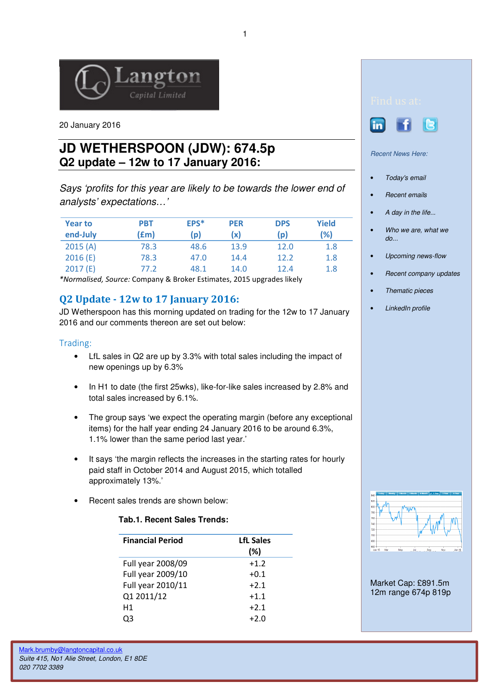

20 January 2016

# **JD WETHERSPOON (JDW): 674.5p Q2 update – 12w to 17 January 2016:**

Says 'profits for this year are likely to be towards the lower end of analysts' expectations…'

| <b>Year to</b><br>end-July | PBT<br>(£m) | EPS*<br>(p) | <b>PER</b><br>(x) | <b>DPS</b><br>(p) | Yield<br>(%) |
|----------------------------|-------------|-------------|-------------------|-------------------|--------------|
| 2015(A)                    | 78.3        | 48.6        | 13.9              | 12.0              | 1.8          |
| 2016(E)                    | 78.3        | 47.0        | 14.4              | 12.2              | 1.8          |
| 2017(E)                    | 77.2        | 48.1        | 14.0              | 12.4              | 1.8          |

\*Normalised, Source: Company & Broker Estimates, 2015 upgrades likely

# Q2 Update - 12w to 17 January 2016:

JD Wetherspoon has this morning updated on trading for the 12w to 17 January 2016 and our comments thereon are set out below:

# Trading:

- LfL sales in Q2 are up by 3.3% with total sales including the impact of new openings up by 6.3%
- In H1 to date (the first 25wks), like-for-like sales increased by 2.8% and total sales increased by 6.1%.
- The group says 'we expect the operating margin (before any exceptional items) for the half year ending 24 January 2016 to be around 6.3%, 1.1% lower than the same period last year.'
- It says 'the margin reflects the increases in the starting rates for hourly paid staff in October 2014 and August 2015, which totalled approximately 13%.'
- Recent sales trends are shown below:

# **Tab.1. Recent Sales Trends:**

| <b>Financial Period</b> | <b>LfL Sales</b><br>(%) |
|-------------------------|-------------------------|
| Full year 2008/09       | $+1.2$                  |
| Full year 2009/10       | $+0.1$                  |
| Full year 2010/11       | $+2.1$                  |
| Q1 2011/12              | $+1.1$                  |
| H1                      | $+2.1$                  |
| ივ                      | $+2.0$                  |





Recent News Here:

- Today's email
- Recent emails
- A day in the life...
- Who we are, what we do...
- Upcoming news-flow
- Recent company updates
- Thematic pieces
- LinkedIn profile



Market Cap: £891.5m 12m range 674p 819p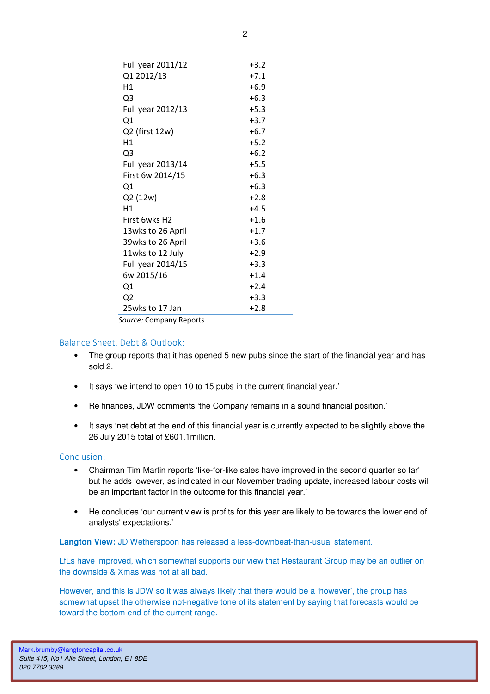| Full year 2011/12 | $+3.2$ |
|-------------------|--------|
| Q1 2012/13        | $+7.1$ |
| Н1                | $+6.9$ |
| Q <sub>3</sub>    | $+6.3$ |
| Full year 2012/13 | $+5.3$ |
| Q1                | $+3.7$ |
| Q2 (first 12w)    | $+6.7$ |
| Η1                | $+5.2$ |
| Q3                | $+6.2$ |
| Full year 2013/14 | $+5.5$ |
| First 6w 2014/15  | $+6.3$ |
| Q1                | $+6.3$ |
| Q2 (12w)          | $+2.8$ |
| H1                | $+4.5$ |
| First 6wks H2     | $+1.6$ |
| 13wks to 26 April | $+1.7$ |
| 39wks to 26 April | $+3.6$ |
| 11wks to 12 July  | $+2.9$ |
| Full year 2014/15 | $+3.3$ |
| 6w 2015/16        | $+1.4$ |
| Q1                | $+2.4$ |
| Q2                | $+3.3$ |
| 25wks to 17 Jan   | $+2.8$ |
|                   |        |

Source: Company Reports

### Balance Sheet, Debt & Outlook:

- The group reports that it has opened 5 new pubs since the start of the financial year and has sold 2.
- It says 'we intend to open 10 to 15 pubs in the current financial year.'
- Re finances, JDW comments 'the Company remains in a sound financial position.'
- It says 'net debt at the end of this financial year is currently expected to be slightly above the 26 July 2015 total of £601.1million.

#### Conclusion:

- Chairman Tim Martin reports 'like-for-like sales have improved in the second quarter so far' but he adds 'owever, as indicated in our November trading update, increased labour costs will be an important factor in the outcome for this financial year.'
- He concludes 'our current view is profits for this year are likely to be towards the lower end of analysts' expectations.'

#### **Langton View:** JD Wetherspoon has released a less-downbeat-than-usual statement.

LfLs have improved, which somewhat supports our view that Restaurant Group may be an outlier on the downside & Xmas was not at all bad.

However, and this is JDW so it was always likely that there would be a 'however', the group has somewhat upset the otherwise not-negative tone of its statement by saying that forecasts would be toward the bottom end of the current range.